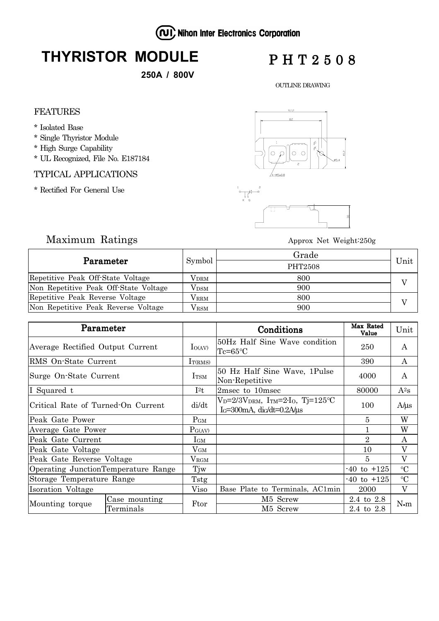(NI) Nihon Inter Electronics Corporation

# **THYRISTOR MODULE**

**250A / 800V**

## PHT2508

OUTLINE DRAWING

#### FEATURES

- \* Isolated Base
- \* Single Thyristor Module
- \* High Surge Capability
- \* UL Recognized, File No. E187184

#### TYPICAL APPLICATIONS

\* Rectified For General Use



## Maximum Ratings Approx Net Weight:250g

| Parameter                             | Symbol        | Grade   |      |  |
|---------------------------------------|---------------|---------|------|--|
|                                       |               | PHT2508 | Unit |  |
| Repetitive Peak Off-State Voltage     | $\rm V_{DRM}$ | 800     |      |  |
| Non Repetitive Peak Off-State Voltage | $V_{\rm DSM}$ | 900     |      |  |
| Repetitive Peak Reverse Voltage       | $\rm V_{RRM}$ | 800     |      |  |
| Non Repetitive Peak Reverse Voltage   | $V_{\rm RSM}$ | 900     |      |  |

| Parameter                           |               |                   | Conditions                                                                                                  | Max Rated<br>Value | Unit            |
|-------------------------------------|---------------|-------------------|-------------------------------------------------------------------------------------------------------------|--------------------|-----------------|
| Average Rectified Output Current    |               | $I_{O(AV)}$       | 50Hz Half Sine Wave condition<br>$Tc = 65$ °C                                                               | 250                | A               |
| RMS On-State Current                |               | $I_{T(RMS)}$      |                                                                                                             | 390                | A               |
| Surge On-State Current              |               | <b>I</b> TSM      | 50 Hz Half Sine Wave, 1Pulse<br>Non-Repetitive                                                              | 4000               | A               |
| I Squared t                         |               | $I^{2}t$          | 2msec to 10msec                                                                                             | 80000              | $A^2s$          |
| Critical Rate of Turned-On Current  |               | di/dt             | $V_D = 2/3V_{DRM}$ , I <sub>TM</sub> =2·I <sub>O</sub> , Tj=125°C<br>$I_G=300$ mA, di $G/dt=0.2$ A/ $\mu$ s | 100                | $A/\mu s$       |
| Peak Gate Power                     |               | $P_{GM}$          |                                                                                                             | 5                  | W               |
| Average Gate Power                  |               | $P_{G(AV)}$       |                                                                                                             |                    | W               |
| Peak Gate Current                   |               | $I_{GM}$          |                                                                                                             | $\overline{2}$     | A               |
| Peak Gate Voltage                   |               | $\rm V_{GM}$      |                                                                                                             | 10                 | V               |
| Peak Gate Reverse Voltage           |               | $\rm V_{\rm RGM}$ |                                                                                                             | 5                  | V               |
| Operating JunctionTemperature Range |               | Tjw               |                                                                                                             | $-40$ to $+125$    | $\rm ^{\circ}C$ |
| Storage Temperature Range           |               | Tstg              |                                                                                                             | -40 to +125        | $\rm ^{\circ}C$ |
| Isoration Voltage                   |               | Viso              | Base Plate to Terminals, AC1min                                                                             | 2000               | V               |
| Mounting torque                     | Case mounting | Ftor              | M5 Screw                                                                                                    | 2.4 to 2.8         | $N \cdot m$     |
|                                     | Terminals     |                   | M5 Screw                                                                                                    | $2.4\,$ to $\,2.8$ |                 |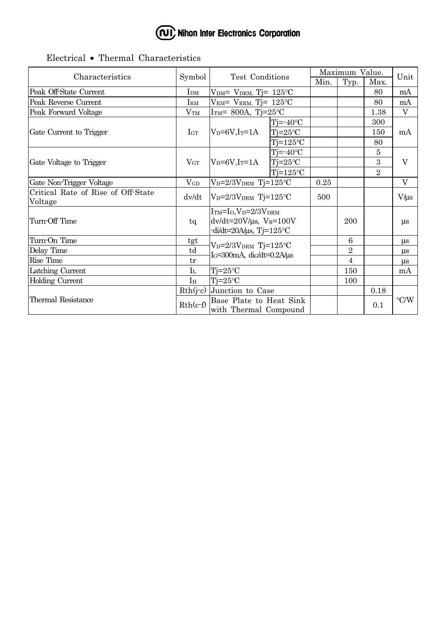

## Electrical • Thermal Characteristics

| Characteristics                               | Symbol          | Test Conditions                                                                                         |                   | Maximum Value. |                |                | Unit               |
|-----------------------------------------------|-----------------|---------------------------------------------------------------------------------------------------------|-------------------|----------------|----------------|----------------|--------------------|
|                                               |                 |                                                                                                         |                   | Min.           | Typ.           | Max.           |                    |
| Peak Off-State Current                        | $I_{DM}$        | $VDM= VDRM$ , Tj= 125°C                                                                                 |                   |                |                | 80             | mA                 |
| Peak Reverse Current                          | $I_{\rm RM}$    | VRM= VRRM, Tj= $125^{\circ}$ C                                                                          |                   |                |                | 80             | mA                 |
| Peak Forward Voltage                          | V <sub>TM</sub> | ITM= 800A, Tj=25 $\textdegree$ C                                                                        |                   |                | 1.38           | $\overline{V}$ |                    |
| Gate Current to Trigger                       | $I_{GT}$        | $V_D = 6V$ , I $_T = 1A$                                                                                | $Tj = -40$ °C     |                |                | 300            | mA                 |
|                                               |                 |                                                                                                         | $Tj = 25$ °C      |                |                | 150            |                    |
|                                               |                 |                                                                                                         | $Tj=125$ °C       |                |                | 80             |                    |
| Gate Voltage to Trigger                       | $V_{GT}$        | $V_D = 6V$ , I <sub>T</sub> =1A                                                                         | $Tj = -40$ °C     |                |                | 5              | $\rm V$            |
|                                               |                 |                                                                                                         | $Tj = 25$ °C      |                |                | 3              |                    |
|                                               |                 |                                                                                                         | $Ti=125^{\circ}C$ |                |                | $\overline{2}$ |                    |
| Gate Non-Trigger Voltage                      | $V_{GD}$        | $V_D=2/3V_{DRM}$ Tj=125°C                                                                               |                   | 0.25           |                |                | $\rm V$            |
| Critical Rate of Rise of Off-State<br>Voltage | dv/dt           | $V_D = 2/3V_{DRM}$ Tj=125°C                                                                             |                   | 500            |                |                | $V/\mu s$          |
| Turn-Off Time                                 | tq              | $ITM=IO,VD=2/3VDRM$<br>$dv/dt = 20V/\mu s$ , $V_R = 100V$<br>$-di/dt = 20A/\mu s$ , Tj= $125^{\circ}$ C |                   |                | 200            |                | $\mu$ s            |
| Turn-On Time                                  | tgt             | $V_D=2/3V_{DRM}$ Tj=125°C<br>$I_G=300$ mA, di $G/dt=0.2$ A/ $\mu$ s                                     |                   |                | 6              |                | $\mu$ s            |
| Delay Time                                    | td              |                                                                                                         |                   |                | $\sqrt{2}$     |                | μs                 |
| Rise Time                                     | tr              |                                                                                                         |                   |                | $\overline{4}$ |                | $\mu$ s            |
| Latching Current                              | I <sub>L</sub>  | $Tj = 25$ °C                                                                                            |                   |                | 150            |                | mA                 |
| <b>Holding Current</b>                        | I <sub>H</sub>  | $Tj = 25$ °C                                                                                            |                   |                | 100            |                |                    |
| Thermal Resistance                            | $Rth(j-c)$      | Junction to Case<br>Base Plate to Heat Sink<br>with Thermal Compound                                    |                   |                |                | 0.18           | $\rm ^{\circ}$ C/W |
|                                               | $Rth(c-f)$      |                                                                                                         |                   |                |                | 0.1            |                    |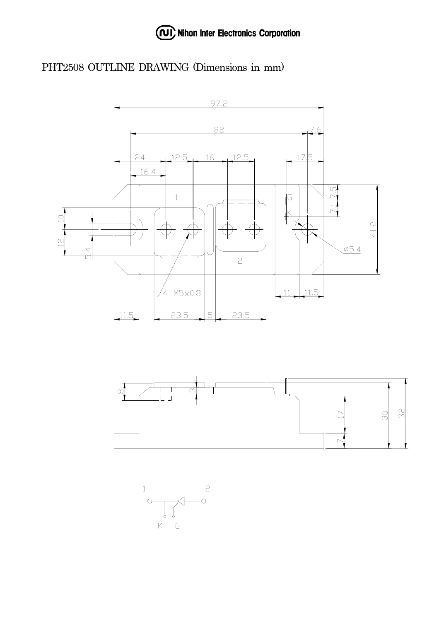

## PHT2508 OUTLINE DRAWING (Dimensions in mm)





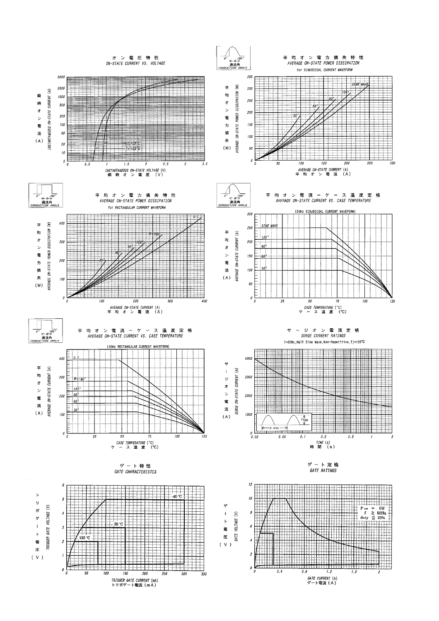